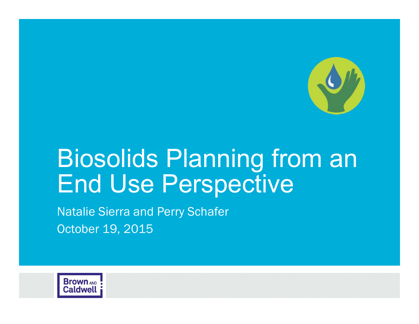

# Biosolids Planning from an End Use Perspective

Natalie Sierra and Perry Schafer October 19, 2015

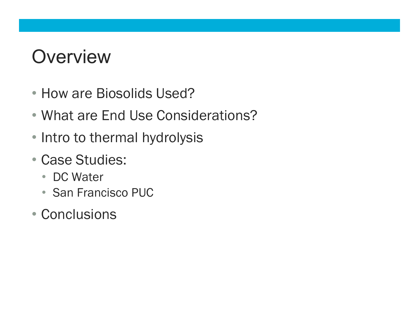# **Overview**

- How are Biosolids Used?
- What are End Use Considerations?
- Intro to thermal hydrolysis
- Case Studies:
	- DC Water
	- San Francisco PUC
- Conclusions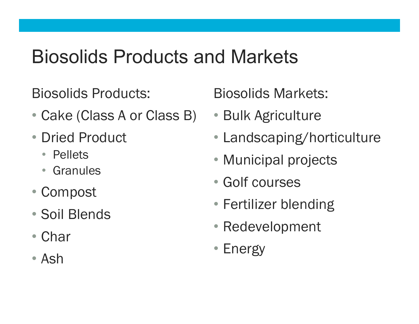# Biosolids Products and Markets

Biosolids Products:

- Cake (Class A or Class B)
- Dried Product
	- Pellets
	- Granules
- Compost
- Soil Blends
- Char
- Ash

Biosolids Markets:

- Bulk Agriculture
- Landscaping/horticulture
- Municipal projects
- Golf courses
- Fertilizer blending
- Redevelopment
- Energy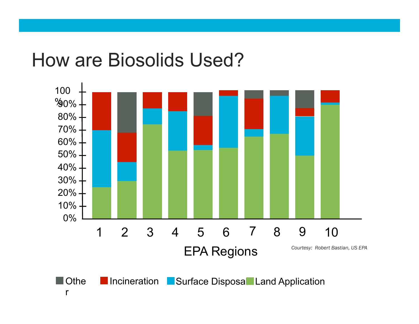## How are Biosolids Used?

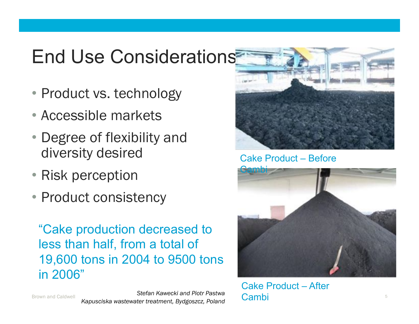# End Use Considerations

- Product vs. technology
- Accessible markets
- Degree of flexibility and diversity desired
- Risk perception
- Product consistency

"Cake production decreased to less than half, from a total of 19,600 tons in 2004 to 9500 tons in 2006"



Cake Product – Before



Cake Product – After Cambi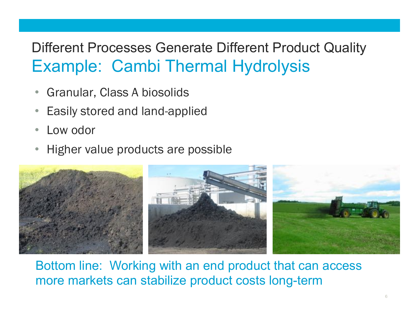### Different Processes Generate Different Product Quality Example: Cambi Thermal Hydrolysis

- Granular, Class A biosolids
- Easily stored and land-applied
- Low odor
- Higher value products are possible



Bottom line: Working with an end product that can access more markets can stabilize product costs long-term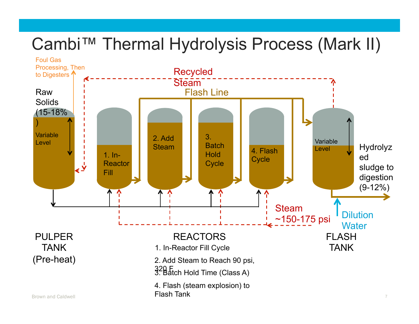## Cambi™ Thermal Hydrolysis Process (Mark II)

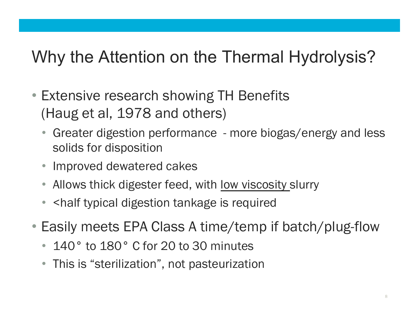## Why the Attention on the Thermal Hydrolysis?

- Extensive research showing TH Benefits (Haug et al, 1978 and others)
	- Greater digestion performance more biogas/energy and less solids for disposition
	- Improved dewatered cakes
	- Allows thick digester feed, with <u>low viscosity</u> slurry
	- <half typical digestion tankage is required
- Easily meets EPA Class A time/temp if batch/plug-flow
	- 140° to 180° C for 20 to 30 minutes
	- This is "sterilization", not pasteurization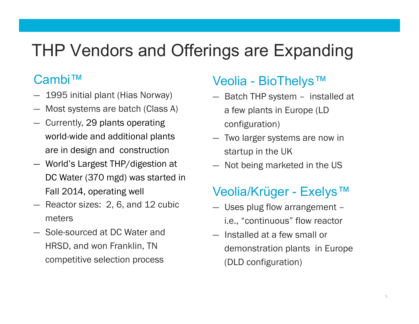## THP Vendors and Offerings are Expanding

#### Cambi™

- ― 1995 initial plant (Hias Norway)
- ― Most systems are batch (Class A)
- ― Currently, 29 plants operating world-wide and additional plants are in design and construction
- ― World's Largest THP/digestion at DC Water (370 mgd) was started in Fall 2014, operating well
- ― Reactor sizes: 2, 6, and 12 cubic meters
- ― Sole-sourced at DC Water and HRSD, and won Franklin, TN competitive selection process

#### Veolia - BioThelys™

- ― Batch THP system installed at a few plants in Europe (LD configuration)
- ― Two larger systems are now in startup in the UK
- ― Not being marketed in the US

#### Veolia/Krüger - Exelys™

- ― Uses plug flow arrangement i.e., "continuous" flow reactor
- ― Installed at a few small or demonstration plants in Europe (DLD configuration)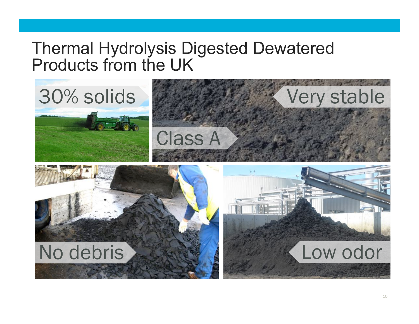#### Thermal Hydrolysis Digested Dewatered Products from the UK

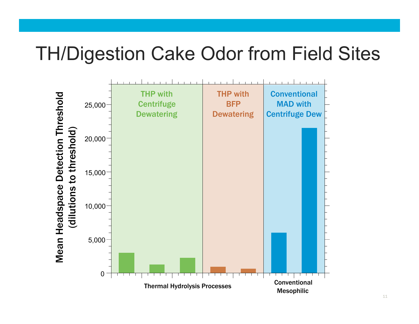## TH/Digestion Cake Odor from Field Sites

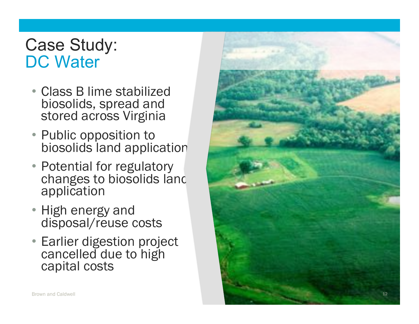#### Case Study: DC Water

- Class B lime stabilized biosolids, spread and stored across Virginia
- Public opposition to biosolids land application
- Potential for regulatory changes to biosolids land application
- High energy and disposal/reuse costs
- Earlier digestion project cancelled due to high capital costs

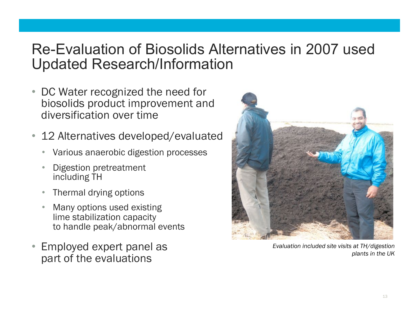#### Re-Evaluation of Biosolids Alternatives in 2007 used Updated Research/Information

- DC Water recognized the need for biosolids product improvement and diversification over time
- 12 Alternatives developed/evaluated
	- Various anaerobic digestion processes
	- Digestion pretreatment including TH
	- Thermal drying options
	- Many options used existing lime stabilization capacity to handle peak/abnormal events
- Employed expert panel as part of the evaluations



*Evaluation included site visits at TH/digestion plants in the UK*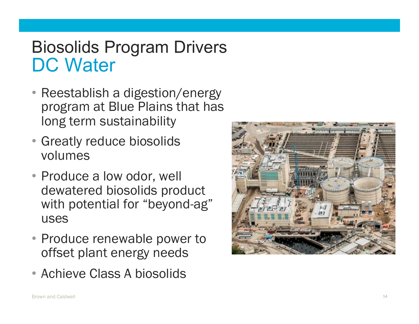## Biosolids Program Drivers DC Water

- Reestablish a digestion/energy program at Blue Plains that has long term sustainability
- Greatly reduce biosolids volumes
- Produce a low odor, well dewatered biosolids product with potential for "beyond-ag" uses
- Produce renewable power to offset plant energy needs
- Achieve Class A biosolids

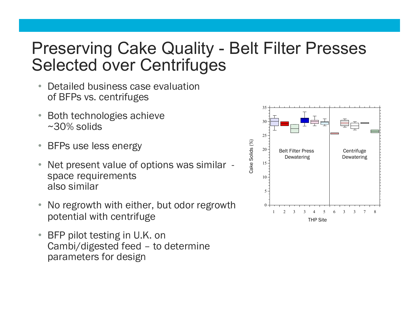### Preserving Cake Quality - Belt Filter Presses Selected over Centrifuges

- Detailed business case evaluation of BFPs vs. centrifuges
- Both technologies achieve ~30% solids
- BFPs use less energy
- Net present value of options was similar space requirements also similar
- No regrowth with either, but odor regrowth potential with centrifuge
- BFP pilot testing in U.K. on Cambi/digested feed – to determine parameters for design

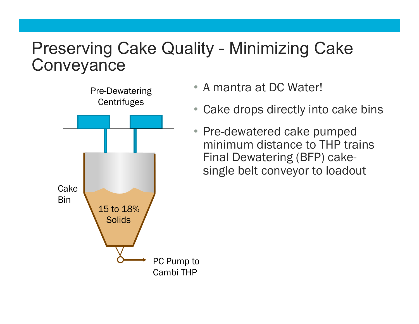### Preserving Cake Quality - Minimizing Cake **Conveyance**



- A mantra at DC Water!
- Cake drops directly into cake bins
- Pre-dewatered cake pumped minimum distance to THP trains Final Dewatering (BFP) cakesingle belt conveyor to loadout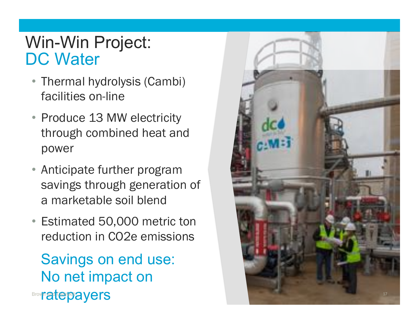#### Win-Win Project: DC Water

- Thermal hydrolysis (Cambi) facilities on-line
- Produce 13 MW electricity through combined heat and power
- Anticipate further program savings through generation of a marketable soil blend
- Estimated 50,000 metric ton reduction in CO2e emissions

Savings on end use: No net impact on **Brown arterpayers** 

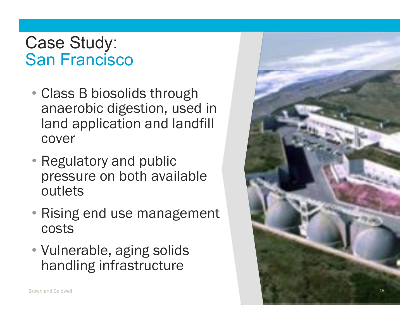#### Case Study: San Francisco

- Class B biosolids through anaerobic digestion, used in land application and landfill cover
- Regulatory and public pressure on both available outlets
- Rising end use management costs
- Vulnerable, aging solids handling infrastructure

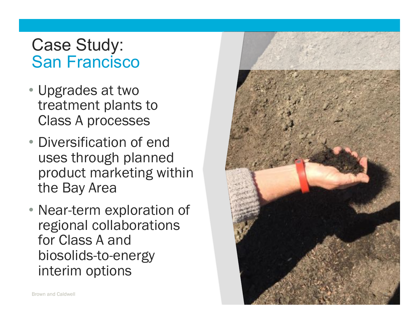#### Case Study: San Francisco

- Upgrades at two treatment plants to Class A processes
- Diversification of end uses through planned product marketing within the Bay Area
- Near-term exploration of regional collaborations for Class A and biosolids-to-energy interim options

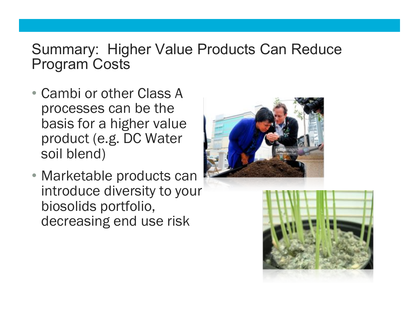#### Summary: Higher Value Products Can Reduce Program Costs

- Cambi or other Class A processes can be the basis for a higher value product (e.g. DC Water soil blend)
- Marketable products can introduce diversity to your biosolids portfolio, decreasing end use risk



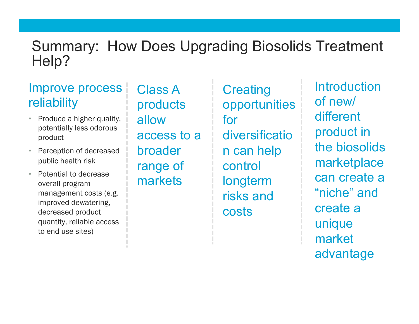#### Summary: How Does Upgrading Biosolids Treatment Help?

#### Improve process reliability

- Produce a higher quality, potentially less odorous product
- Perception of decreased public health risk
- Potential to decrease overall program management costs (e.g. improved dewatering, decreased product quantity, reliable access to end use sites)

Class A products allow access to a broader range of markets

**Creating** opportunities for diversificatio n can help control longterm risks and costs

**Introduction** of new/ different product in the biosolids marketplace can create a "niche" and create a unique market advantage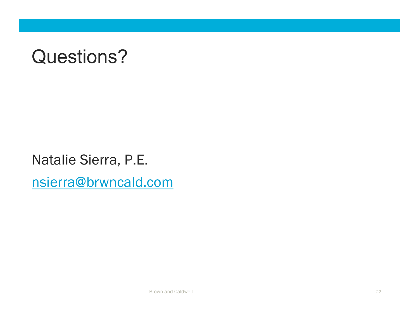# Questions?

Natalie Sierra, P.E. nsierra@brwncald.com